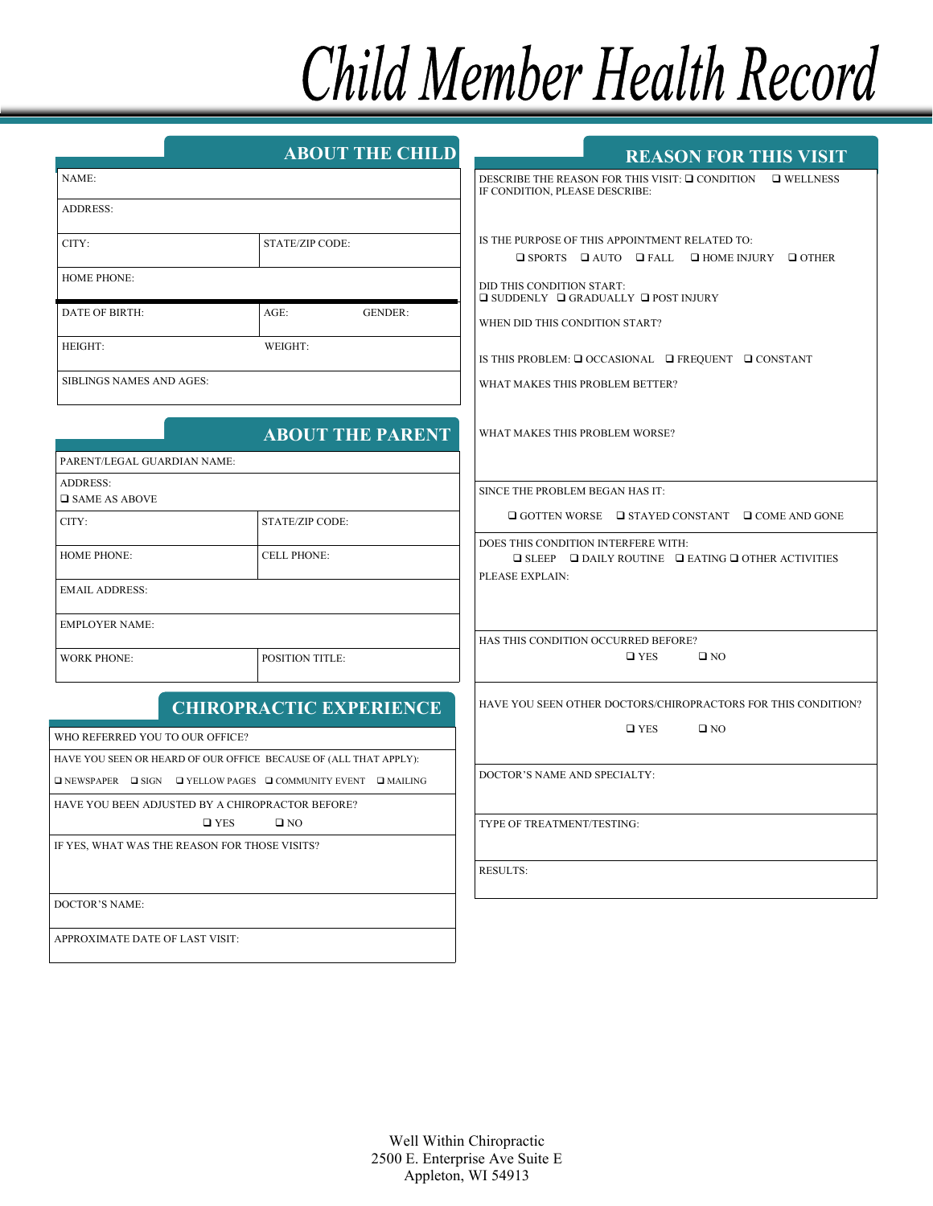# Child Member Health Record

|                                                                                        | <b>ABOUT THE CHILD</b>                           | <b>REASON FOR THIS VISIT</b>                                                                                            |
|----------------------------------------------------------------------------------------|--------------------------------------------------|-------------------------------------------------------------------------------------------------------------------------|
| NAME:                                                                                  |                                                  | DESCRIBE THE REASON FOR THIS VISIT: □ CONDITION □ WELLNESS                                                              |
| <b>ADDRESS:</b>                                                                        |                                                  | IF CONDITION, PLEASE DESCRIBE:                                                                                          |
|                                                                                        |                                                  |                                                                                                                         |
| CITY:                                                                                  | STATE/ZIP CODE:                                  | IS THE PURPOSE OF THIS APPOINTMENT RELATED TO:<br>$\Box$ SPORTS $\Box$ AUTO $\Box$ FALL $\Box$ HOME INJURY $\Box$ OTHER |
| <b>HOME PHONE:</b>                                                                     |                                                  |                                                                                                                         |
|                                                                                        |                                                  | DID THIS CONDITION START:<br>$\Box$ SUDDENLY $\Box$ GRADUALLY $\Box$ POST INJURY                                        |
| <b>DATE OF BIRTH:</b>                                                                  | $AGE$ :<br><b>GENDER:</b>                        | WHEN DID THIS CONDITION START?                                                                                          |
| HEIGHT:                                                                                | WEIGHT:                                          |                                                                                                                         |
|                                                                                        |                                                  | IS THIS PROBLEM: $\Box$ OCCASIONAL $\Box$ FREQUENT $\Box$ CONSTANT                                                      |
| SIBLINGS NAMES AND AGES:                                                               |                                                  | WHAT MAKES THIS PROBLEM BETTER?                                                                                         |
|                                                                                        |                                                  |                                                                                                                         |
|                                                                                        | <b>ABOUT THE PARENT</b>                          | WHAT MAKES THIS PROBLEM WORSE?                                                                                          |
| PARENT/LEGAL GUARDIAN NAME:                                                            |                                                  |                                                                                                                         |
| ADDRESS:<br>$\square$ SAME AS ABOVE                                                    |                                                  | SINCE THE PROBLEM BEGAN HAS IT:                                                                                         |
| CITY:                                                                                  | <b>STATE/ZIP CODE:</b>                           | $\Box$ GOTTEN WORSE $\Box$ STAYED CONSTANT $\Box$ COME AND GONE                                                         |
|                                                                                        |                                                  | DOES THIS CONDITION INTERFERE WITH:                                                                                     |
| <b>HOME PHONE:</b>                                                                     | <b>CELL PHONE:</b>                               | $\Box$ SLEEP $\Box$ DAILY ROUTINE $\Box$ EATING $\Box$ OTHER ACTIVITIES                                                 |
| <b>EMAIL ADDRESS:</b>                                                                  |                                                  | PLEASE EXPLAIN:                                                                                                         |
| <b>EMPLOYER NAME:</b>                                                                  |                                                  |                                                                                                                         |
|                                                                                        |                                                  | HAS THIS CONDITION OCCURRED BEFORE?                                                                                     |
| <b>WORK PHONE:</b>                                                                     | <b>POSITION TITLE:</b>                           | $\square$ YES<br>$\square$ NO                                                                                           |
|                                                                                        |                                                  | HAVE YOU SEEN OTHER DOCTORS/CHIROPRACTORS FOR THIS CONDITION?                                                           |
|                                                                                        | <b>CHIROPRACTIC EXPERIENCE</b>                   | $\square$ YES<br>$\square$ NO                                                                                           |
| WHO REFERRED YOU TO OUR OFFICE?                                                        |                                                  |                                                                                                                         |
| HAVE YOU SEEN OR HEARD OF OUR OFFICE BECAUSE OF (ALL THAT APPLY):                      |                                                  | DOCTOR'S NAME AND SPECIALTY:                                                                                            |
| $\Box$ NEWSPAPER $\Box$ SIGN $\Box$ YELLOW PAGES $\Box$ COMMUNITY EVENT $\Box$ MAILING |                                                  |                                                                                                                         |
|                                                                                        | HAVE YOU BEEN ADJUSTED BY A CHIROPRACTOR BEFORE? |                                                                                                                         |
| $\square$ YES<br>$\square$ NO<br>IF YES, WHAT WAS THE REASON FOR THOSE VISITS?         |                                                  | TYPE OF TREATMENT/TESTING:                                                                                              |
|                                                                                        |                                                  | <b>RESULTS:</b>                                                                                                         |
|                                                                                        |                                                  |                                                                                                                         |
| DOCTOR'S NAME:                                                                         |                                                  |                                                                                                                         |
| APPROXIMATE DATE OF LAST VISIT:                                                        |                                                  |                                                                                                                         |
|                                                                                        |                                                  |                                                                                                                         |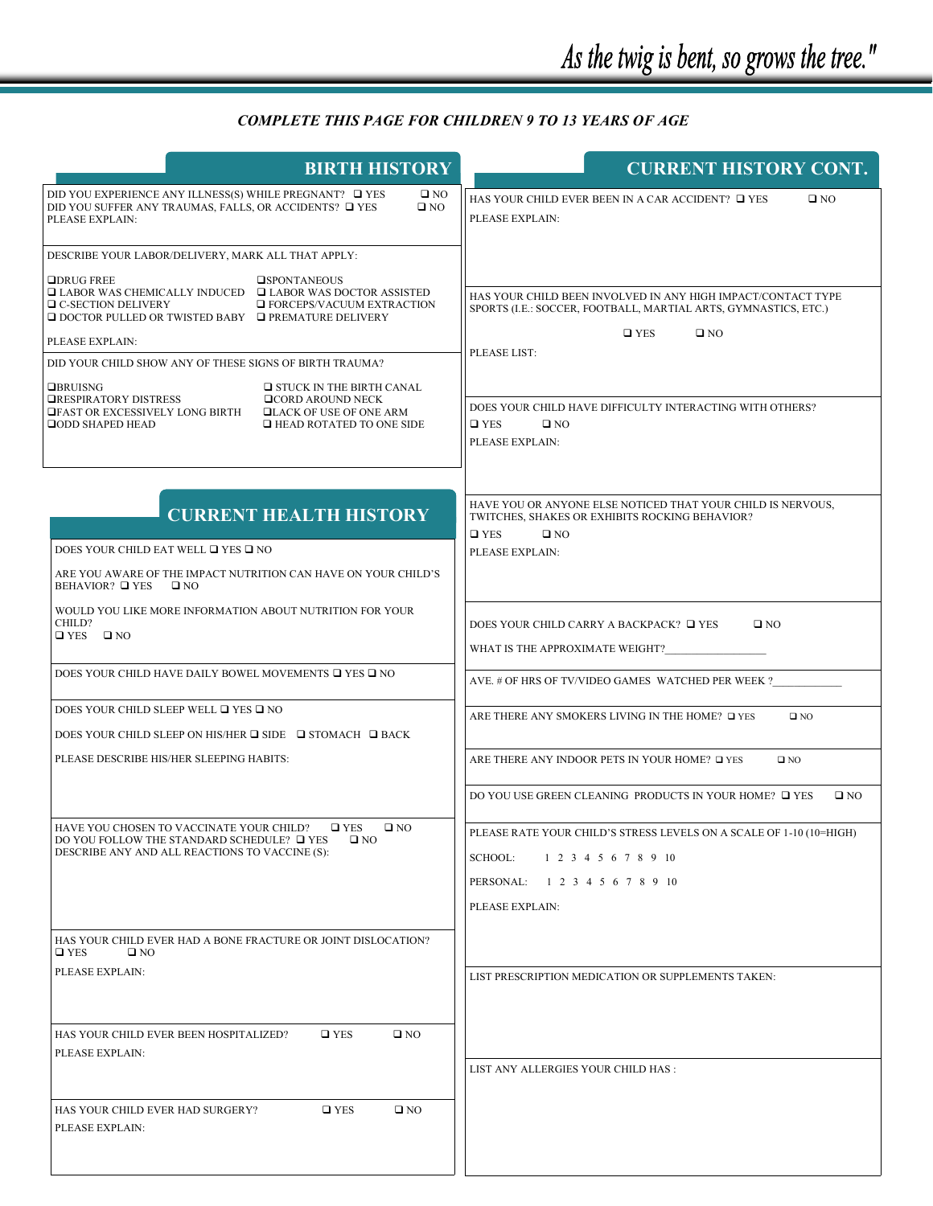# *COMPLETE THIS PAGE FOR CHILDREN 9 TO 13 YEARS OF AGE*

| <b>BIRTH HISTORY</b>                                                                                                                                                                                                                                                                                                    | <b>CURRENT HISTORY CONT.</b>                                                                                                                                                     |
|-------------------------------------------------------------------------------------------------------------------------------------------------------------------------------------------------------------------------------------------------------------------------------------------------------------------------|----------------------------------------------------------------------------------------------------------------------------------------------------------------------------------|
| DID YOU EXPERIENCE ANY ILLNESS(S) WHILE PREGNANT? □ YES<br>$\square$ NO<br>DID YOU SUFFER ANY TRAUMAS, FALLS, OR ACCIDENTS? □ YES<br>$\square$ NO<br>PLEASE EXPLAIN:                                                                                                                                                    | HAS YOUR CHILD EVER BEEN IN A CAR ACCIDENT? □ YES<br>$\square$ NO<br>PLEASE EXPLAIN:                                                                                             |
| DESCRIBE YOUR LABOR/DELIVERY, MARK ALL THAT APPLY:                                                                                                                                                                                                                                                                      |                                                                                                                                                                                  |
| $\Box$ DRUG FREE<br><b>OSPONTANEOUS</b><br>$\Box$ LABOR WAS CHEMICALLY INDUCED $\Box$ LABOR WAS DOCTOR ASSISTED<br>□ C-SECTION DELIVERY<br><b>EXTRACTION</b> EXTRACTION<br>$\Box$ DOCTOR PULLED OR TWISTED BABY $\Box$ PREMATURE DELIVERY<br>PLEASE EXPLAIN:<br>DID YOUR CHILD SHOW ANY OF THESE SIGNS OF BIRTH TRAUMA? | HAS YOUR CHILD BEEN INVOLVED IN ANY HIGH IMPACT/CONTACT TYPE<br>SPORTS (I.E.: SOCCER, FOOTBALL, MARTIAL ARTS, GYMNASTICS, ETC.)<br>$\square$ YES<br>$\square$ NO<br>PLEASE LIST: |
| <b>OBRUISNG</b><br>$\Box$ STUCK IN THE BIRTH CANAL<br><b>□RESPIRATORY DISTRESS</b><br><b>QCORD AROUND NECK</b><br><b>OFAST OR EXCESSIVELY LONG BIRTH</b><br><b>QLACK OF USE OF ONE ARM</b><br>$\Box$ HEAD ROTATED TO ONE SIDE<br><b>QODD SHAPED HEAD</b>                                                                | DOES YOUR CHILD HAVE DIFFICULTY INTERACTING WITH OTHERS?<br>$\square$ YES<br>$\square$ NO<br>PLEASE EXPLAIN:                                                                     |
| <b>CURRENT HEALTH HISTORY</b>                                                                                                                                                                                                                                                                                           | HAVE YOU OR ANYONE ELSE NOTICED THAT YOUR CHILD IS NERVOUS,<br>TWITCHES, SHAKES OR EXHIBITS ROCKING BEHAVIOR?<br>$\square$ YES<br>$\square$ NO                                   |
| DOES YOUR CHILD EAT WELL $\Box$ YES $\Box$ NO                                                                                                                                                                                                                                                                           | PLEASE EXPLAIN:                                                                                                                                                                  |
| ARE YOU AWARE OF THE IMPACT NUTRITION CAN HAVE ON YOUR CHILD'S<br><b>BEHAVIOR?</b> □ YES<br>$\square$ NO                                                                                                                                                                                                                |                                                                                                                                                                                  |
| WOULD YOU LIKE MORE INFORMATION ABOUT NUTRITION FOR YOUR<br>CHILD?<br>$\Box$ YES $\Box$ NO                                                                                                                                                                                                                              | DOES YOUR CHILD CARRY A BACKPACK? □ YES<br>$\square$ NO<br>WHAT IS THE APPROXIMATE WEIGHT?                                                                                       |
| DOES YOUR CHILD HAVE DAILY BOWEL MOVEMENTS □ YES □ NO                                                                                                                                                                                                                                                                   | AVE. # OF HRS OF TV/VIDEO GAMES WATCHED PER WEEK ?                                                                                                                               |
| DOES YOUR CHILD SLEEP WELL □ YES □ NO                                                                                                                                                                                                                                                                                   | ARE THERE ANY SMOKERS LIVING IN THE HOME? □ YES<br>$\square$ NO                                                                                                                  |
| DOES YOUR CHILD SLEEP ON HIS/HER $\square$ SIDE $\square$ STOMACH $\square$ BACK                                                                                                                                                                                                                                        |                                                                                                                                                                                  |
| PLEASE DESCRIBE HIS/HER SLEEPING HABITS:                                                                                                                                                                                                                                                                                | ARE THERE ANY INDOOR PETS IN YOUR HOME? OF YES<br>$\square$ NO<br>DO YOU USE GREEN CLEANING PRODUCTS IN YOUR HOME? □ YES<br>$\square$ NO                                         |
| HAVE YOU CHOSEN TO VACCINATE YOUR CHILD?<br>$\square$ YES<br>$\square$ NO<br>DO YOU FOLLOW THE STANDARD SCHEDULE? □ YES<br>$\square$ NO<br>DESCRIBE ANY AND ALL REACTIONS TO VACCINE (S):                                                                                                                               | PLEASE RATE YOUR CHILD'S STRESS LEVELS ON A SCALE OF 1-10 (10=HIGH)<br>SCHOOL:<br>1 2 3 4 5 6 7 8 9 10<br>PERSONAL: 1 2 3 4 5 6 7 8 9 10<br>PLEASE EXPLAIN:                      |
| HAS YOUR CHILD EVER HAD A BONE FRACTURE OR JOINT DISLOCATION?<br>$\square$ YES<br>$\square$ NO                                                                                                                                                                                                                          |                                                                                                                                                                                  |
| PLEASE EXPLAIN:                                                                                                                                                                                                                                                                                                         | LIST PRESCRIPTION MEDICATION OR SUPPLEMENTS TAKEN:                                                                                                                               |
| $\square$ NO<br>HAS YOUR CHILD EVER BEEN HOSPITALIZED?<br>$\square$ YES<br>PLEASE EXPLAIN:                                                                                                                                                                                                                              | LIST ANY ALLERGIES YOUR CHILD HAS:                                                                                                                                               |
| $\square$ YES<br>$\square$ NO<br>HAS YOUR CHILD EVER HAD SURGERY?<br>PLEASE EXPLAIN:                                                                                                                                                                                                                                    |                                                                                                                                                                                  |